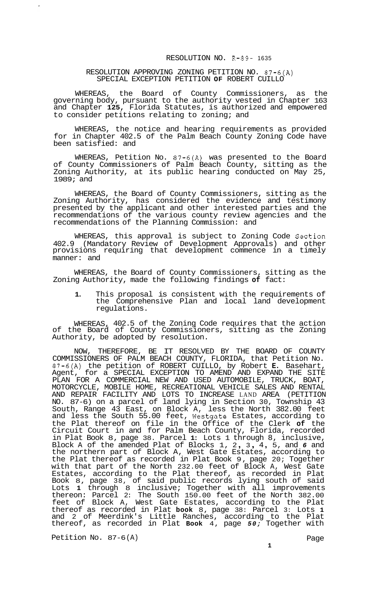## RESOLUTION NO. R-89- 1635

## RESOLUTION APPROVING ZONING PETITION NO. 87-6(A) SPECIAL EXCEPTION PETITION **OF** ROBERT CUILLO

WHEREAS, the Board of County Commissioners, as the governing body, pursuant to the authority vested in Chapter 163 and Chapter **125,** Florida Statutes, is authorized and empowered to consider petitions relating to zoning; and

WHEREAS, the notice and hearing requirements as provided for in Chapter 402.5 of the Palm Beach County Zoning Code have been satisfied: and

WHEREAS, Petition No. 87-6(A) was presented to the Board of County Commissioners of Palm Beach County, sitting as the Zoning Authority, at its public hearing conducted on May 25, 1989; and

WHEREAS, the Board of County Commissioners, sitting as the Zoning Authority, has considered the evidence and testimony presented by the applicant and other interested parties and the recommendations of the various county review agencies and the recommendations of the Planning Commission: and

WHEREAS, this approval is subject to Zoning Code Section 402.9 (Mandatory Review of Development Approvals) and other provisions requiring that development commence in a timely manner: and

WHEREAS, the Board of County Commissioners, sitting as the Zoning Authority, made the following findings **of** fact:

**1.** This proposal is consistent with the requirements of the Comprehensive Plan and local land development regulations.

WHEREAS, 402.5 of the Zoning Code requires that the action of the Board of County Commissioners, sitting as the Zoning Authority, be adopted by resolution.

NOW, THEREFORE, BE IT RESOLVED BY THE BOARD OF COUNTY COMMISSIONERS OF PALM BEACH COUNTY, FLORIDA, that Petition No. 87-6(A) the petition of ROBERT CUILLO, by Robert **E.** Basehart, Agent, for a SPECIAL EXCEPTION TO AMEND AND EXPAND THE SITE PLAN FOR A COMMERCIAL NEW AND USED AUTOMOBILE, TRUCK, BOAT, MOTORCYCLE, MOBILE HOME, RECREATIONAL VEHICLE SALES AND RENTAL AND REPAIR FACILITY AND LOTS TO INCREASE LAND AREA (PETITION NO. 87-6) on a parcel of land lying in Section 30, Township 43 South, Range 43 East, on Block A, less the North 382.00 feet and less the South 55.00 feet, Westgate Estates, according to the Plat thereof on file in the Office of the Clerk **of** the Circuit Court in and for Palm Beach County, Florida, recorded in Plat Book 8, page 38. Parcel **1:** Lots 1 through 8, inclusive, Block A of the amended Plat of Blocks 1, 2 , 3 , 4 , 5, and *6* and the northern part of Block A, West Gate Estates, according to the Plat thereof as recorded in Plat Book 9, page 20; Together with that part of the North 232.00 feet of Block A, West Gate Estates, according to the Plat thereof, as recorded in Plat Book 8, page 38, of said public records lying south of said Lots **1** through 8 inclusive; Together with all improvements thereon: Parcel 2: The South 150.00 feet of the North 382.00 feet of Block A, West Gate Estates, according to the Plat thereof as recorded in Plat **book** 8, page 38: Parcel 3: Lots **1**  and 2 of Meerdink's Little Ranches, according to the Plat thereof, as recorded in Plat **Book** 4, page *50;* Together with

Petition No. 87-6(A) Page

 $\cdot$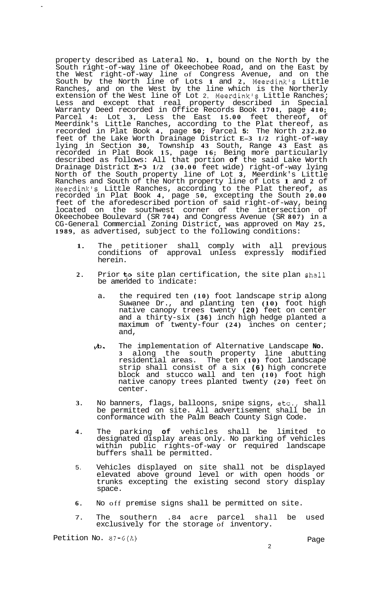property described as Lateral No. **1,** bound on the North by the South right-of-way line of Okeechobee Road, and on the East by the West right-of-way line of Congress Avenue, and on the South by the North line of Lots **1** and **2,** Meerdink's Little Ranches, and on the West by the line which is the Northerly extension of the West line of Lot 2, Meerdink's Little Ranches; Less and except that real property described in Special Warranty Deed recorded in Office Records Book **1701,** page **410;**  Parcel **4:** Lot **3,** Less the East **15.00** feet thereof, of Meerdink's Little Ranches, according to the Plat thereof, as recorded in Plat Book **4,** page **50;** Parcel **5:** The North **232.80**  feet of the Lake Worth Drainage District **E-3 1/2** right-of-way lying in Section **30,** Township **43** South, Range **43** East as recorded in Plat Book **15,** page **16;** Being more particularly described as follows: All that portion **of** the said Lake Worth Drainage District **33-3 1/2 (30.00** feet wide) right-of-way lying North of the South property line of Lot **3,** Meerdink's Little Ranches and South of the North property line of Lots **1** and **2** of Meerdink's Little Ranches, according to the Plat thereof, as recorded in Plat Book **4,** page **50,** excepting the South **20.00**  feet of the aforedescribed portion of said right-of-way, being located on the southwest corner of the intersection of Okeechobee Boulevard (SR **704)** and Congress Avenue (SR **807)** in a CG-General Commercial Zoning District, was approved on May **25, 1989,** as advertised, subject to the following conditions:

- **1.** The petitioner shall comply with all previous conditions of approval unless expressly modified herein.
- 2. Prior to site plan certification, the site plan shall be amended to indicate:
	- a. the required ten **(10)** foot landscape strip along Suwanee Dr., and planting ten **(10)** foot high native canopy trees twenty **(20)** feet on center and a thirty-six **(36)** inch high hedge planted a maximum of twenty-four **(24)** inches on center; and,
	- &I. The implementation of Alternative Landscape **No. 3** along the south property line abutting residential areas. The ten **(10)** foot landscape strip shall consist of a six **(6)** high concrete block and stucco wall and ten **(10)** foot high native canopy trees planted twenty **(20)** feet on center.
- **3.** No banners, flags, balloons, snipe signs, etc., shall be permitted on site. All advertisement shall be in conformance with the Palm Beach County Sign Code.
- **4.** The parking **of** vehicles shall be limited to designated display areas only. No parking of vehicles within public rights-of-way or required landscape buffers shall be permitted.
- 5. Vehicles displayed on site shall not be displayed elevated above ground level or with open hoods or trunks excepting the existing second story display space.
- **6.** No off premise signs shall be permitted on site.
- 7. The southern .84 acre parcel shall be used exclusively for the storage of inventory.

Petition No. 87-6(A) **Page** 

2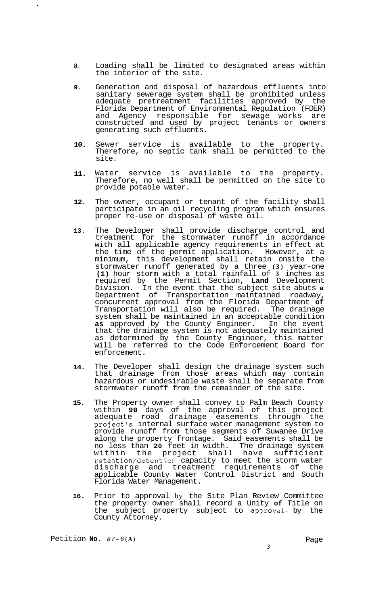- a. Loading shall be limited to designated areas within the interior of the site.
- **9.**  Generation and disposal of hazardous effluents into sanitary sewerage system shall be prohibited unless adequate pretreatment facilities approved by the Florida Department of Environmental Regulation (FDER) and Agency responsible for sewage works are constructed and used by project tenants or owners generating such effluents.
- **10.**  Sewer service is available to the property. Therefore, no septic tank shall be permitted to the site.
- **11.**  Water service is available to the property. Therefore, no well shall be permitted on the site to provide potable water.
- **12.**  The owner, occupant or tenant of the facility shall participate in an oil recycling program which ensures proper re-use or disposal of waste oil.
- **13.**  The Developer shall provide discharge control and treatment for the stormwater runoff in accordance with all applicable agency requirements in effect at the time of the permit application. However, at a minimum, this development shall retain onsite the stormwater runoff generated by a three **(3)** year-one **(1)** hour storm with a total rainfall of **3** inches as required by the Permit Section, **Land** Development Division. In the event that the subject site abuts **a**  Department of Transportation maintained roadway, concurrent approval from the Florida Department **of**  Transportation will also be required. The drainage system shall be maintained in an acceptable condition **as** approved by the County Engineer. In the event that the drainage system is not adequately maintained as determined by the County Engineer, this matter will be referred to the Code Enforcement Board for enforcement.
- **14.**  The Developer shall design the drainage system such that drainage from those areas which may contain hazardous or undesirable waste shall be separate from stormwater runoff from the remainder of the site.
- **15.**  The Property owner shall convey to Palm Beach County within **90** days of the approval of this project adequate road drainage easements through the project's internal surface water management system to provide runoff from those segments of Suwanee Drive along the property frontage. Said easements shall be no less than **20** feet in width. The drainage system within the project shall have sufficient retention/detention capacity to meet the storm water discharge and treatment requirements of the applicable County Water Control District and South Florida Water Management.
- **16.**  Prior to approval by the Site Plan Review Committee the property owner shall record a Unity **of** Title on the subject property subject to approval- by the County Attorney.

Petition **No.**  $87-6(A)$  Page

 $\ddot{\phantom{0}}$